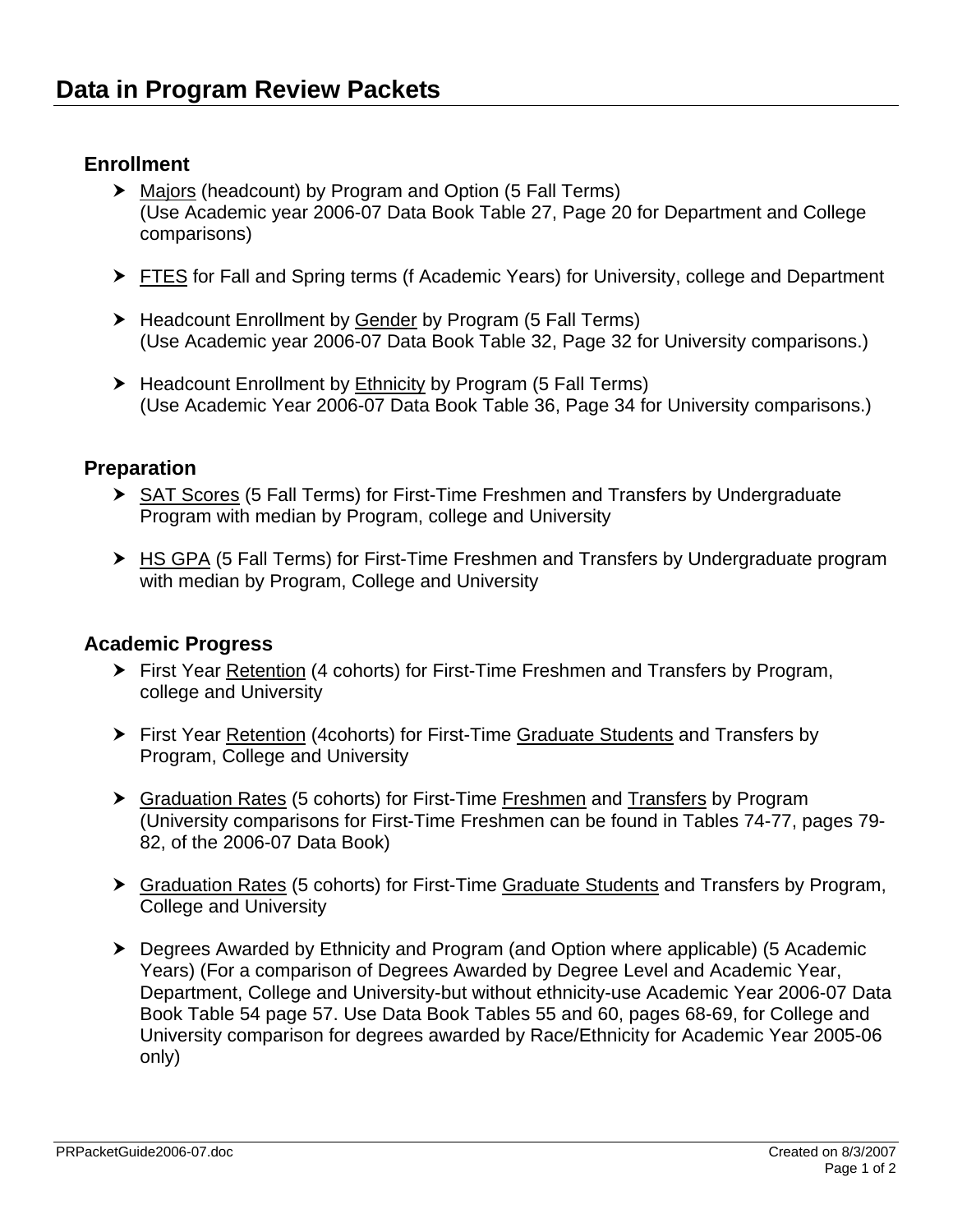# **Enrollment**

- ▶ Majors (headcount) by Program and Option (5 Fall Terms) (Use Academic year 2006-07 Data Book Table 27, Page 20 for Department and College comparisons)
- **FIFES for Fall and Spring terms (f Academic Years) for University, college and Department**
- Headcount Enrollment by Gender by Program (5 Fall Terms) (Use Academic year 2006-07 Data Book Table 32, Page 32 for University comparisons.)
- $\blacktriangleright$  Headcount Enrollment by Ethnicity by Program (5 Fall Terms) (Use Academic Year 2006-07 Data Book Table 36, Page 34 for University comparisons.)

## **Preparation**

- ▶ SAT Scores (5 Fall Terms) for First-Time Freshmen and Transfers by Undergraduate Program with median by Program, college and University
- ▶ HS GPA (5 Fall Terms) for First-Time Freshmen and Transfers by Undergraduate program with median by Program, College and University

### **Academic Progress**

- h First Year Retention (4 cohorts) for First-Time Freshmen and Transfers by Program, college and University
- ▶ First Year Retention (4cohorts) for First-Time Graduate Students and Transfers by Program, College and University
- ▶ Graduation Rates (5 cohorts) for First-Time Freshmen and Transfers by Program (University comparisons for First-Time Freshmen can be found in Tables 74-77, pages 79- 82, of the 2006-07 Data Book)
- h Graduation Rates (5 cohorts) for First-Time Graduate Students and Transfers by Program, College and University
- ▶ Degrees Awarded by Ethnicity and Program (and Option where applicable) (5 Academic Years) (For a comparison of Degrees Awarded by Degree Level and Academic Year, Department, College and University-but without ethnicity-use Academic Year 2006-07 Data Book Table 54 page 57. Use Data Book Tables 55 and 60, pages 68-69, for College and University comparison for degrees awarded by Race/Ethnicity for Academic Year 2005-06 only)